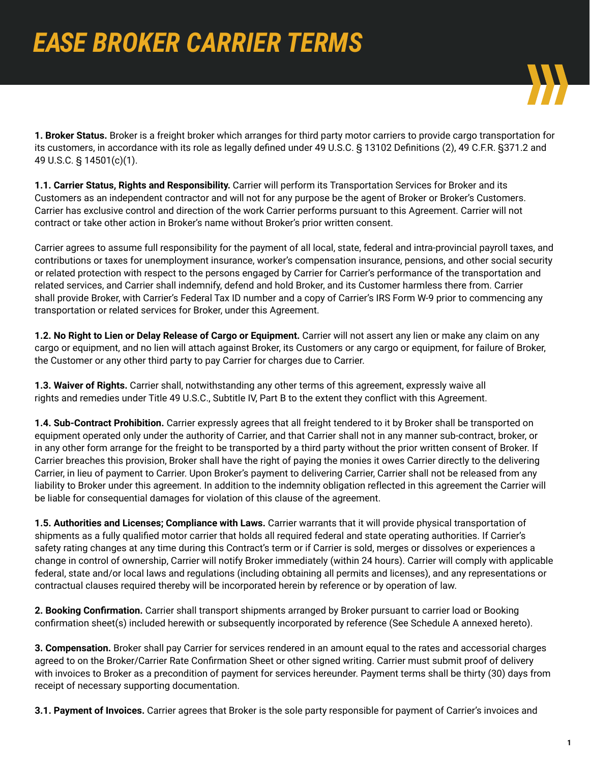

**1. Broker Status.** Broker is a freight broker which arranges for third party motor carriers to provide cargo transportation for its customers, in accordance with its role as legally defined under 49 U.S.C. § 13102 Definitions (2), 49 C.F.R. §371.2 and 49 U.S.C. § 14501(c)(1).

**1.1. Carrier Status, Rights and Responsibility.** Carrier will perform its Transportation Services for Broker and its Customers as an independent contractor and will not for any purpose be the agent of Broker or Broker's Customers. Carrier has exclusive control and direction of the work Carrier performs pursuant to this Agreement. Carrier will not contract or take other action in Broker's name without Broker's prior written consent.

Carrier agrees to assume full responsibility for the payment of all local, state, federal and intra-provincial payroll taxes, and contributions or taxes for unemployment insurance, worker's compensation insurance, pensions, and other social security or related protection with respect to the persons engaged by Carrier for Carrier's performance of the transportation and related services, and Carrier shall indemnify, defend and hold Broker, and its Customer harmless there from. Carrier shall provide Broker, with Carrier's Federal Tax ID number and a copy of Carrier's IRS Form W-9 prior to commencing any transportation or related services for Broker, under this Agreement.

**1.2. No Right to Lien or Delay Release of Cargo or Equipment.** Carrier will not assert any lien or make any claim on any cargo or equipment, and no lien will attach against Broker, its Customers or any cargo or equipment, for failure of Broker, the Customer or any other third party to pay Carrier for charges due to Carrier.

**1.3. Waiver of Rights.** Carrier shall, notwithstanding any other terms of this agreement, expressly waive all rights and remedies under Title 49 U.S.C., Subtitle IV, Part B to the extent they conflict with this Agreement.

**1.4. Sub-Contract Prohibition.** Carrier expressly agrees that all freight tendered to it by Broker shall be transported on equipment operated only under the authority of Carrier, and that Carrier shall not in any manner sub-contract, broker, or in any other form arrange for the freight to be transported by a third party without the prior written consent of Broker. If Carrier breaches this provision, Broker shall have the right of paying the monies it owes Carrier directly to the delivering Carrier, in lieu of payment to Carrier. Upon Broker's payment to delivering Carrier, Carrier shall not be released from any liability to Broker under this agreement. In addition to the indemnity obligation reflected in this agreement the Carrier will be liable for consequential damages for violation of this clause of the agreement.

**1.5. Authorities and Licenses; Compliance with Laws.** Carrier warrants that it will provide physical transportation of shipments as a fully qualified motor carrier that holds all required federal and state operating authorities. If Carrier's safety rating changes at any time during this Contract's term or if Carrier is sold, merges or dissolves or experiences a change in control of ownership, Carrier will notify Broker immediately (within 24 hours). Carrier will comply with applicable federal, state and/or local laws and regulations (including obtaining all permits and licenses), and any representations or contractual clauses required thereby will be incorporated herein by reference or by operation of law.

**2. Booking Confirmation.** Carrier shall transport shipments arranged by Broker pursuant to carrier load or Booking confirmation sheet(s) included herewith or subsequently incorporated by reference (See Schedule A annexed hereto).

**3. Compensation.** Broker shall pay Carrier for services rendered in an amount equal to the rates and accessorial charges agreed to on the Broker/Carrier Rate Confirmation Sheet or other signed writing. Carrier must submit proof of delivery with invoices to Broker as a precondition of payment for services hereunder. Payment terms shall be thirty (30) days from receipt of necessary supporting documentation.

**3.1. Payment of Invoices.** Carrier agrees that Broker is the sole party responsible for payment of Carrier's invoices and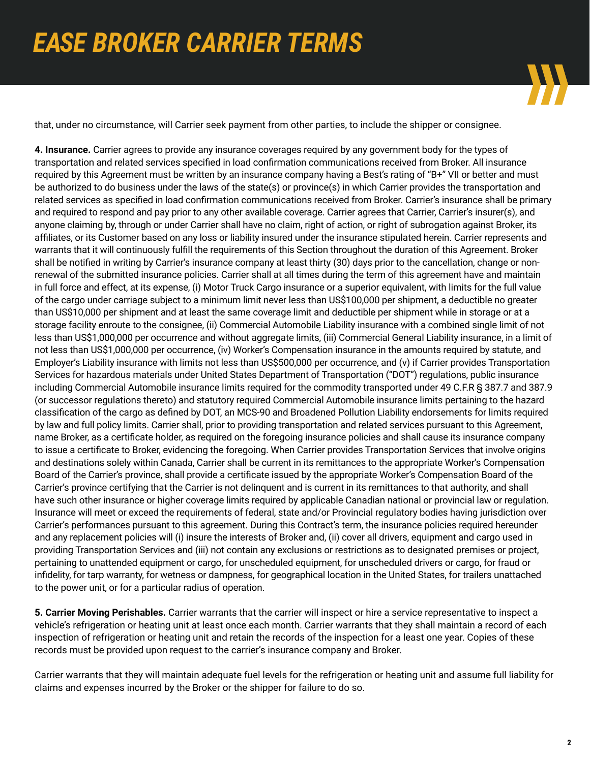

that, under no circumstance, will Carrier seek payment from other parties, to include the shipper or consignee.

**4. Insurance.** Carrier agrees to provide any insurance coverages required by any government body for the types of transportation and related services specified in load confirmation communications received from Broker. All insurance required by this Agreement must be written by an insurance company having a Best's rating of "B+" VII or better and must be authorized to do business under the laws of the state(s) or province(s) in which Carrier provides the transportation and related services as specified in load confirmation communications received from Broker. Carrier's insurance shall be primary and required to respond and pay prior to any other available coverage. Carrier agrees that Carrier, Carrier's insurer(s), and anyone claiming by, through or under Carrier shall have no claim, right of action, or right of subrogation against Broker, its affiliates, or its Customer based on any loss or liability insured under the insurance stipulated herein. Carrier represents and warrants that it will continuously fulfill the requirements of this Section throughout the duration of this Agreement. Broker shall be notified in writing by Carrier's insurance company at least thirty (30) days prior to the cancellation, change or nonrenewal of the submitted insurance policies. Carrier shall at all times during the term of this agreement have and maintain in full force and effect, at its expense, (i) Motor Truck Cargo insurance or a superior equivalent, with limits for the full value of the cargo under carriage subject to a minimum limit never less than US\$100,000 per shipment, a deductible no greater than US\$10,000 per shipment and at least the same coverage limit and deductible per shipment while in storage or at a storage facility enroute to the consignee, (ii) Commercial Automobile Liability insurance with a combined single limit of not less than US\$1,000,000 per occurrence and without aggregate limits, (iii) Commercial General Liability insurance, in a limit of not less than US\$1,000,000 per occurrence, (iv) Worker's Compensation insurance in the amounts required by statute, and Employer's Liability insurance with limits not less than US\$500,000 per occurrence, and (v) if Carrier provides Transportation Services for hazardous materials under United States Department of Transportation ("DOT") regulations, public insurance including Commercial Automobile insurance limits required for the commodity transported under 49 C.F.R § 387.7 and 387.9 (or successor regulations thereto) and statutory required Commercial Automobile insurance limits pertaining to the hazard classification of the cargo as defined by DOT, an MCS-90 and Broadened Pollution Liability endorsements for limits required by law and full policy limits. Carrier shall, prior to providing transportation and related services pursuant to this Agreement, name Broker, as a certificate holder, as required on the foregoing insurance policies and shall cause its insurance company to issue a certificate to Broker, evidencing the foregoing. When Carrier provides Transportation Services that involve origins and destinations solely within Canada, Carrier shall be current in its remittances to the appropriate Worker's Compensation Board of the Carrier's province, shall provide a certificate issued by the appropriate Worker's Compensation Board of the Carrier's province certifying that the Carrier is not delinquent and is current in its remittances to that authority, and shall have such other insurance or higher coverage limits required by applicable Canadian national or provincial law or regulation. Insurance will meet or exceed the requirements of federal, state and/or Provincial regulatory bodies having jurisdiction over Carrier's performances pursuant to this agreement. During this Contract's term, the insurance policies required hereunder and any replacement policies will (i) insure the interests of Broker and, (ii) cover all drivers, equipment and cargo used in providing Transportation Services and (iii) not contain any exclusions or restrictions as to designated premises or project, pertaining to unattended equipment or cargo, for unscheduled equipment, for unscheduled drivers or cargo, for fraud or infidelity, for tarp warranty, for wetness or dampness, for geographical location in the United States, for trailers unattached to the power unit, or for a particular radius of operation.

**5. Carrier Moving Perishables.** Carrier warrants that the carrier will inspect or hire a service representative to inspect a vehicle's refrigeration or heating unit at least once each month. Carrier warrants that they shall maintain a record of each inspection of refrigeration or heating unit and retain the records of the inspection for a least one year. Copies of these records must be provided upon request to the carrier's insurance company and Broker.

Carrier warrants that they will maintain adequate fuel levels for the refrigeration or heating unit and assume full liability for claims and expenses incurred by the Broker or the shipper for failure to do so.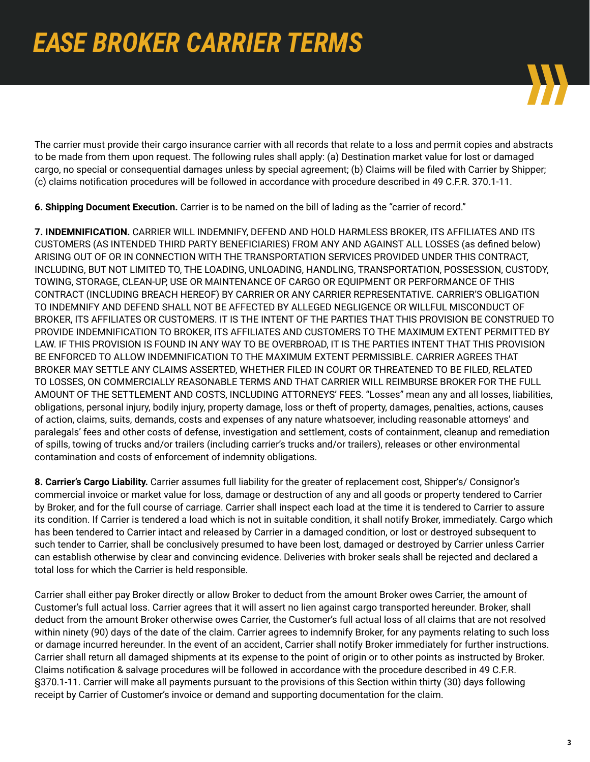

The carrier must provide their cargo insurance carrier with all records that relate to a loss and permit copies and abstracts to be made from them upon request. The following rules shall apply: (a) Destination market value for lost or damaged cargo, no special or consequential damages unless by special agreement; (b) Claims will be filed with Carrier by Shipper; (c) claims notification procedures will be followed in accordance with procedure described in 49 C.F.R. 370.1-11.

**6. Shipping Document Execution.** Carrier is to be named on the bill of lading as the "carrier of record."

**7. INDEMNIFICATION.** CARRIER WILL INDEMNIFY, DEFEND AND HOLD HARMLESS BROKER, ITS AFFILIATES AND ITS CUSTOMERS (AS INTENDED THIRD PARTY BENEFICIARIES) FROM ANY AND AGAINST ALL LOSSES (as defined below) ARISING OUT OF OR IN CONNECTION WITH THE TRANSPORTATION SERVICES PROVIDED UNDER THIS CONTRACT, INCLUDING, BUT NOT LIMITED TO, THE LOADING, UNLOADING, HANDLING, TRANSPORTATION, POSSESSION, CUSTODY, TOWING, STORAGE, CLEAN-UP, USE OR MAINTENANCE OF CARGO OR EQUIPMENT OR PERFORMANCE OF THIS CONTRACT (INCLUDING BREACH HEREOF) BY CARRIER OR ANY CARRIER REPRESENTATIVE. CARRIER'S OBLIGATION TO INDEMNIFY AND DEFEND SHALL NOT BE AFFECTED BY ALLEGED NEGLIGENCE OR WILLFUL MISCONDUCT OF BROKER, ITS AFFILIATES OR CUSTOMERS. IT IS THE INTENT OF THE PARTIES THAT THIS PROVISION BE CONSTRUED TO PROVIDE INDEMNIFICATION TO BROKER, ITS AFFILIATES AND CUSTOMERS TO THE MAXIMUM EXTENT PERMITTED BY LAW. IF THIS PROVISION IS FOUND IN ANY WAY TO BE OVERBROAD, IT IS THE PARTIES INTENT THAT THIS PROVISION BE ENFORCED TO ALLOW INDEMNIFICATION TO THE MAXIMUM EXTENT PERMISSIBLE. CARRIER AGREES THAT BROKER MAY SETTLE ANY CLAIMS ASSERTED, WHETHER FILED IN COURT OR THREATENED TO BE FILED, RELATED TO LOSSES, ON COMMERCIALLY REASONABLE TERMS AND THAT CARRIER WILL REIMBURSE BROKER FOR THE FULL AMOUNT OF THE SETTLEMENT AND COSTS, INCLUDING ATTORNEYS' FEES. "Losses" mean any and all losses, liabilities, obligations, personal injury, bodily injury, property damage, loss or theft of property, damages, penalties, actions, causes of action, claims, suits, demands, costs and expenses of any nature whatsoever, including reasonable attorneys' and paralegals' fees and other costs of defense, investigation and settlement, costs of containment, cleanup and remediation of spills, towing of trucks and/or trailers (including carrier's trucks and/or trailers), releases or other environmental contamination and costs of enforcement of indemnity obligations.

**8. Carrier's Cargo Liability.** Carrier assumes full liability for the greater of replacement cost, Shipper's/ Consignor's commercial invoice or market value for loss, damage or destruction of any and all goods or property tendered to Carrier by Broker, and for the full course of carriage. Carrier shall inspect each load at the time it is tendered to Carrier to assure its condition. If Carrier is tendered a load which is not in suitable condition, it shall notify Broker, immediately. Cargo which has been tendered to Carrier intact and released by Carrier in a damaged condition, or lost or destroyed subsequent to such tender to Carrier, shall be conclusively presumed to have been lost, damaged or destroyed by Carrier unless Carrier can establish otherwise by clear and convincing evidence. Deliveries with broker seals shall be rejected and declared a total loss for which the Carrier is held responsible.

Carrier shall either pay Broker directly or allow Broker to deduct from the amount Broker owes Carrier, the amount of Customer's full actual loss. Carrier agrees that it will assert no lien against cargo transported hereunder. Broker, shall deduct from the amount Broker otherwise owes Carrier, the Customer's full actual loss of all claims that are not resolved within ninety (90) days of the date of the claim. Carrier agrees to indemnify Broker, for any payments relating to such loss or damage incurred hereunder. In the event of an accident, Carrier shall notify Broker immediately for further instructions. Carrier shall return all damaged shipments at its expense to the point of origin or to other points as instructed by Broker. Claims notification & salvage procedures will be followed in accordance with the procedure described in 49 C.F.R. §370.1-11. Carrier will make all payments pursuant to the provisions of this Section within thirty (30) days following receipt by Carrier of Customer's invoice or demand and supporting documentation for the claim.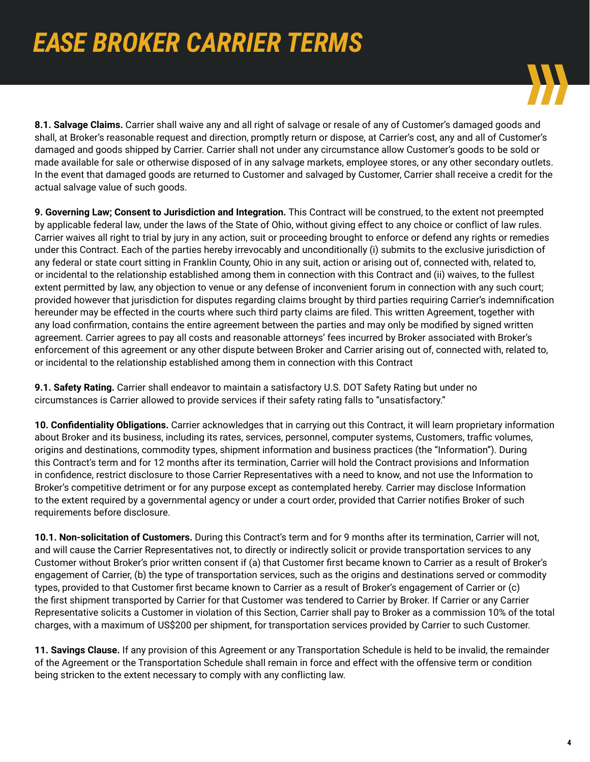

**8.1. Salvage Claims.** Carrier shall waive any and all right of salvage or resale of any of Customer's damaged goods and shall, at Broker's reasonable request and direction, promptly return or dispose, at Carrier's cost, any and all of Customer's damaged and goods shipped by Carrier. Carrier shall not under any circumstance allow Customer's goods to be sold or made available for sale or otherwise disposed of in any salvage markets, employee stores, or any other secondary outlets. In the event that damaged goods are returned to Customer and salvaged by Customer, Carrier shall receive a credit for the actual salvage value of such goods.

**9. Governing Law; Consent to Jurisdiction and Integration.** This Contract will be construed, to the extent not preempted by applicable federal law, under the laws of the State of Ohio, without giving effect to any choice or conflict of law rules. Carrier waives all right to trial by jury in any action, suit or proceeding brought to enforce or defend any rights or remedies under this Contract. Each of the parties hereby irrevocably and unconditionally (i) submits to the exclusive jurisdiction of any federal or state court sitting in Franklin County, Ohio in any suit, action or arising out of, connected with, related to, or incidental to the relationship established among them in connection with this Contract and (ii) waives, to the fullest extent permitted by law, any objection to venue or any defense of inconvenient forum in connection with any such court; provided however that jurisdiction for disputes regarding claims brought by third parties requiring Carrier's indemnification hereunder may be effected in the courts where such third party claims are filed. This written Agreement, together with any load confirmation, contains the entire agreement between the parties and may only be modified by signed written agreement. Carrier agrees to pay all costs and reasonable attorneys' fees incurred by Broker associated with Broker's enforcement of this agreement or any other dispute between Broker and Carrier arising out of, connected with, related to, or incidental to the relationship established among them in connection with this Contract

**9.1. Safety Rating.** Carrier shall endeavor to maintain a satisfactory U.S. DOT Safety Rating but under no circumstances is Carrier allowed to provide services if their safety rating falls to "unsatisfactory."

**10. Confidentiality Obligations.** Carrier acknowledges that in carrying out this Contract, it will learn proprietary information about Broker and its business, including its rates, services, personnel, computer systems, Customers, traffic volumes, origins and destinations, commodity types, shipment information and business practices (the "Information"). During this Contract's term and for 12 months after its termination, Carrier will hold the Contract provisions and Information in confidence, restrict disclosure to those Carrier Representatives with a need to know, and not use the Information to Broker's competitive detriment or for any purpose except as contemplated hereby. Carrier may disclose Information to the extent required by a governmental agency or under a court order, provided that Carrier notifies Broker of such requirements before disclosure.

**10.1. Non-solicitation of Customers.** During this Contract's term and for 9 months after its termination, Carrier will not, and will cause the Carrier Representatives not, to directly or indirectly solicit or provide transportation services to any Customer without Broker's prior written consent if (a) that Customer first became known to Carrier as a result of Broker's engagement of Carrier, (b) the type of transportation services, such as the origins and destinations served or commodity types, provided to that Customer first became known to Carrier as a result of Broker's engagement of Carrier or (c) the first shipment transported by Carrier for that Customer was tendered to Carrier by Broker. If Carrier or any Carrier Representative solicits a Customer in violation of this Section, Carrier shall pay to Broker as a commission 10% of the total charges, with a maximum of US\$200 per shipment, for transportation services provided by Carrier to such Customer.

**11. Savings Clause.** If any provision of this Agreement or any Transportation Schedule is held to be invalid, the remainder of the Agreement or the Transportation Schedule shall remain in force and effect with the offensive term or condition being stricken to the extent necessary to comply with any conflicting law.